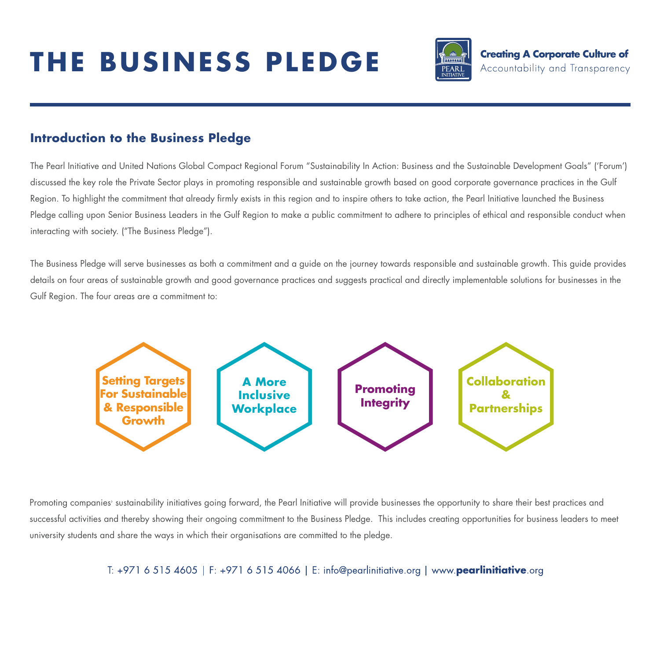# **THE BUSINESS PLEDGE**



## **Introduction to the Business Pledge**

The Pearl Initiative and United Nations Global Compact Regional Forum "Sustainability In Action: Business and the Sustainable Development Goals" ('Forum') discussed the key role the Private Sector plays in promoting responsible and sustainable growth based on good corporate governance practices in the Gulf Region. To highlight the commitment that already firmly exists in this region and to inspire others to take action, the Pearl Initiative launched the Business Pledge calling upon Senior Business Leaders in the Gulf Region to make a public commitment to adhere to principles of ethical and responsible conduct when interacting with society. ("The Business Pledge").

The Business Pledge will serve businesses as both a commitment and a guide on the journey towards responsible and sustainable growth. This guide provides details on four areas of sustainable growth and good governance practices and suggests practical and directly implementable solutions for businesses in the Gulf Region. The four areas are a commitment to:



Promoting companies<sup>,</sup> sustainability initiatives going torward, the Pearl Initiative will provide businesses the opportunity to share their best practices and successful activities and thereby showing their ongoing commitment to the Business Pledge. This includes creating opportunities for business leaders to meet university students and share the ways in which their organisations are committed to the pledge.

#### T: +971 6 515 4605 | F: +971 6 515 4066 | E: info@pearlinitiative.org | www.pearlinitiative.org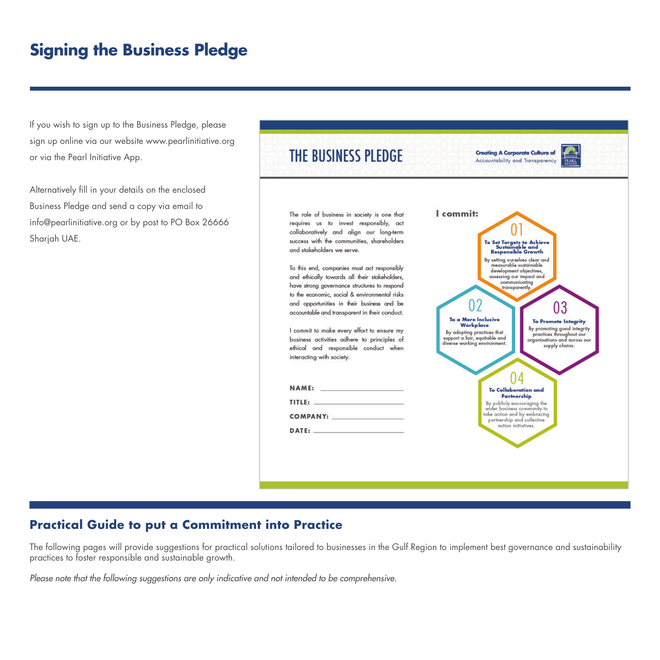# **Signing the Business Pledge**

If you wish to sign up to the Business Pledge, please sign up online via our website www.pearlinitiative.org or via the Pearl Initiative App.

Alternatively fill in your details on the enclosed Business Pledge and send a copy via email to info@pearlinitiative.org or by post to PO Box 26666 Sharjah UAE.



### **Practical Guide to put a Commitment into Practice**

The following pages will provide suggestions for practical solutions tailored to businesses in the Gulf Region to implement best governance and sustainability practices to foster responsible and sustainable growth.

*Please note that the following suggestions are only indicative and not intended to be comprehensive.*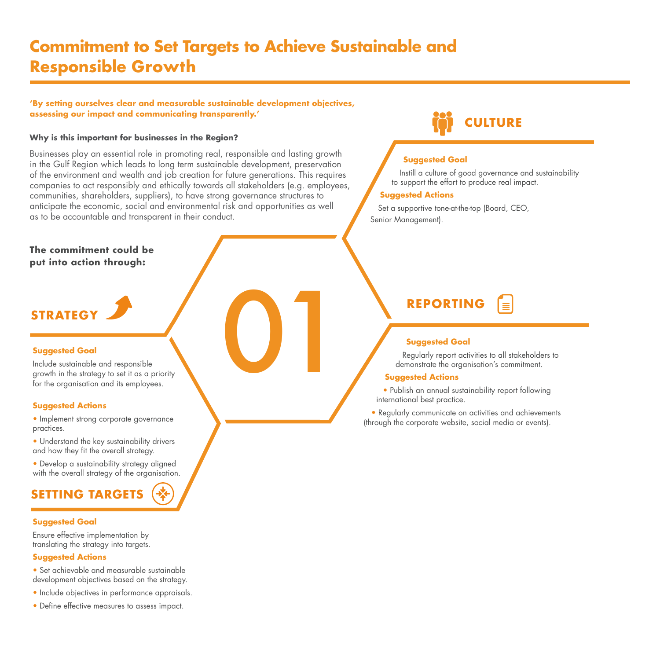# **Commitment to Set Targets to Achieve Sustainable and Responsible Growth**

**'By setting ourselves clear and measurable sustainable development objectives, assessing our impact and communicating transparently.'**

#### **Why is this important for businesses in the Region?**

Businesses play an essential role in promoting real, responsible and lasting growth in the Gulf Region which leads to long term sustainable development, preservation of the environment and wealth and job creation for future generations. This requires companies to act responsibly and ethically towards all stakeholders (e.g. employees, communities, shareholders, suppliers), to have strong governance structures to anticipate the economic, social and environmental risk and opportunities as well as to be accountable and transparent in their conduct.

#### **The commitment could be put into action through:**

#### **Suggested Goal**

Include sustainable and responsible growth in the strategy to set it as a priority for the organisation and its employees. **STRATEGY**<br>
Suggested Goal<br>
Include sustainable and responsible<br>
growth in the strategy to set it as a priority<br>
for the organisation and its employees.

#### **Suggested Actions**

- Implement strong corporate governance practices.
- Understand the key sustainability drivers and how they fit the overall strategy.
- Develop a sustainability strategy aligned with the overall strategy of the organisation.

# **SETTING TARGETS**

#### **Suggested Goal**

Ensure effective implementation by translating the strategy into targets.

#### **Suggested Actions**

- Set achievable and measurable sustainable development objectives based on the strategy.
- Include objectives in performance appraisals.
- Define effective measures to assess impact.

# **CULTURE**

#### **Suggested Goal**

Instill a culture of good governance and sustainability to support the effort to produce real impact.

#### **Suggested Actions**

Set a supportive tone-at-the-top (Board, CEO, Senior Management).

## **REPORTING**

#### **Suggested Goal**

Regularly report activities to all stakeholders to demonstrate the organisation's commitment.

#### **Suggested Actions**

• Publish an annual sustainability report following international best practice.

• Regularly communicate on activities and achievements (through the corporate website, social media or events).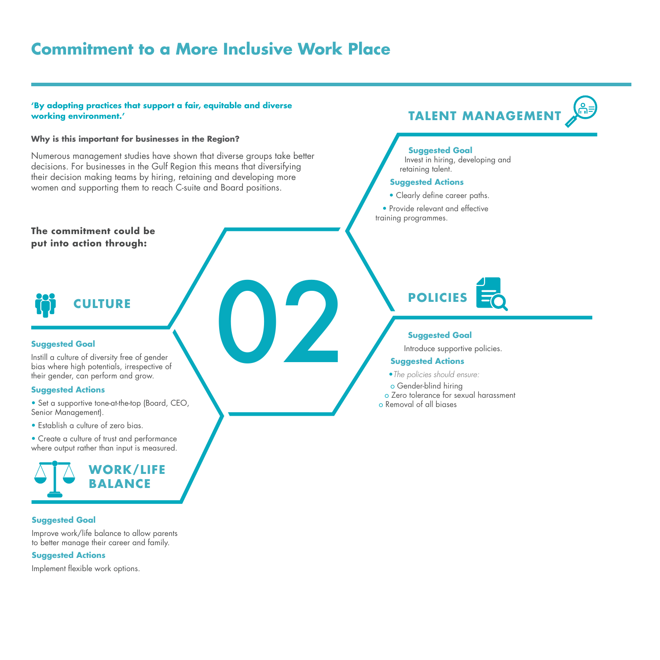# **Commitment to a More Inclusive Work Place**

#### **'By adopting practices that support a fair, equitable and diverse working environment.'**

#### **Why is this important for businesses in the Region?**

Numerous management studies have shown that diverse groups take better decisions. For businesses in the Gulf Region this means that diversifying their decision making teams by hiring, retaining and developing more women and supporting them to reach C-suite and Board positions.

#### **The commitment could be put into action through:**



#### **Suggested Goal**

Instill a culture of diversity free of gender bias where high potentials, irrespective of their gender, can perform and grow.

#### **Suggested Actions**

- Set a supportive tone-at-the-top (Board, CEO, Senior Management).
- Establish a culture of zero bias.
- Create a culture of trust and performance where output rather than input is measured.



#### **Suggested Goal**

Improve work/life balance to allow parents to better manage their career and family.

#### **Suggested Actions**

Implement flexible work options.



#### **Suggested Goal**

Invest in hiring, developing and retaining talent.

#### **Suggested Actions**

- Clearly define career paths.
- Provide relevant and effective training programmes.

# **POLICIES**

#### **Suggested Goal**

Introduce supportive policies.

#### **Suggested Actions**

- •*The policies should ensure:*
- o Gender-blind hiring
- o Zero tolerance for sexual harassment
- o Removal of all biases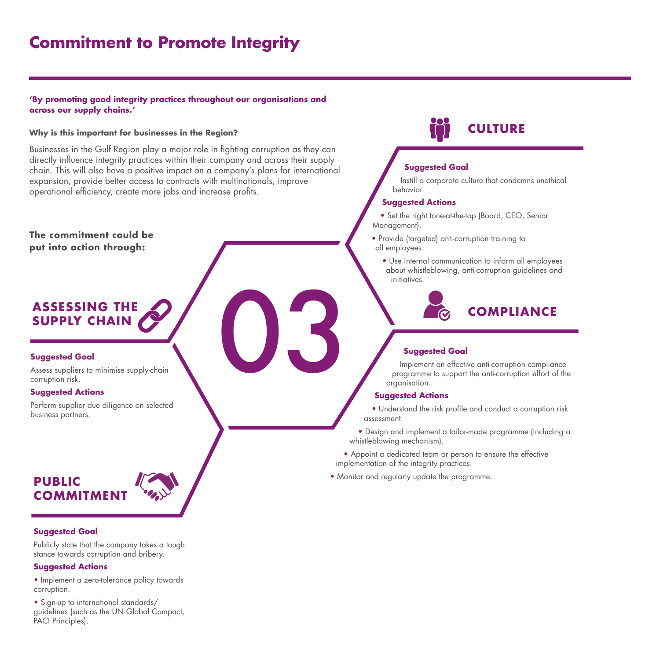# **Commitment to Promote Integrity**

#### **'By promoting good integrity practices throughout our organisations and across our supply chains.'**

**Why is this important for businesses in the Region?** 

Businesses in the Gulf Region play a major role in fighting corruption as they can directly influence integrity practices within their company and across their supply chain. This will also have a positive impact on a company's plans for international expansion, provide better access to contracts with multinationals, improve operational efficiency, create more jobs and increase profits.

**The commitment could be put into action through:**

# **ASSESSING THE<br>
SUPPLY CHAIN**<br>
Suggested Goal<br>
Assess suppliers to minimise supply-chain<br>
Suggested Actions **SUPPLY CHAIN**

#### **Suggested Goal**

Assess suppliers to minimise supply-chain corruption risk.

#### **Suggested Actions**

Perform supplier due diligence on selected business partners.

#### **PUBLIC COMMITMEI**

#### **Suggested Goal**

Publicly state that the company takes a tough stance towards corruption and bribery.

#### **Suggested Actions**

• Implement a zero-tolerance policy towards corruption.

• Sign-up to international standards/ guidelines (such as the UN Global Compact, PACI Principles).

# **CULTURE**

#### **Suggested Goal**

Instill a corporate culture that condemns unethical behavior.

#### **Suggested Actions**

• Set the right tone-at-the-top (Board, CEO, Senior Management).

- Provide (targeted) anti-corruption training to all employees.
	- Use internal communication to inform all employees about whistleblowing, anti-corruption guidelines and initiatives.

# **COMPLIANCE**

#### **Suggested Goal**

Implement an effective anti-corruption compliance programme to support the anti-corruption effort of the organisation.

#### **Suggested Actions**

• Understand the risk profile and conduct a corruption risk assessment.

• Design and implement a tailor-made programme (including a whistleblowing mechanism).

• Appoint a dedicated team or person to ensure the effective implementation of the integrity practices.

• Monitor and regularly update the programme.